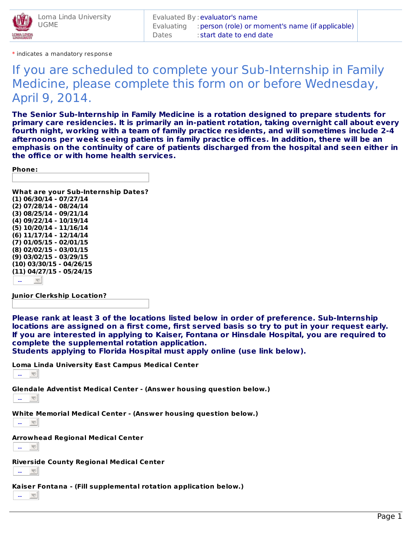

\* indicates a mandatory response

## If you are scheduled to complete your Sub-Internship in Family Medicine, please complete this form on or before Wednesday, April 9, 2014.

**The Senior Sub-Internship in Family Medicine is a rotation designed to prepare students for primary care residencies. It is primarily an in-patient rotation, taking overnight call about every fourth night, working with a team of family practice residents, and will sometimes include 2-4 afternoons per week seeing patients in family practice offices. In addition, there will be an emphasis on the continuity of care of patients discharged from the hospital and seen either in the office or with home health services.**

**Phone:**

**What are your Sub-Internship Dates? (1) 06/30/14 - 07/27/14 (2) 07/28/14 - 08/24/14 (3) 08/25/14 - 09/21/14 (4) 09/22/14 - 10/19/14 (5) 10/20/14 - 11/16/14 (6) 11/17/14 - 12/14/14 (7) 01/05/15 - 02/01/15 (8) 02/02/15 - 03/01/15 (9) 03/02/15 - 03/29/15 (10) 03/30/15 - 04/26/15 (11) 04/27/15 - 05/24/15**  $\overline{\triangledown}$ --

**Junior Clerkship Location?**

**Please rank at least 3 of the locations listed below in order of preference. Sub-Internship locations are assigned on a first come, first served basis so try to put in your request early. If you are interested in applying to Kaiser, Fontana or Hinsdale Hospital, you are required to complete the supplemental rotation application.**

**Students applying to Florida Hospital must apply online (use link below).**

**Loma Linda University East Campus Medical Center**

--

**Glendale Adventist Medical Center - (Answer housing question below.)**

--

**White Memorial Medical Center - (Answer housing question below.)**



**Arrowhead Regional Medical Center**

--

**Riverside County Regional Medical Center**

--

**Kaiser Fontana - (Fill supplemental rotation application below.)**

--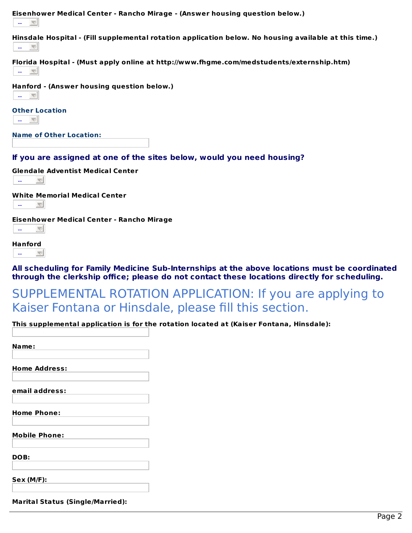

--  $\overline{\nabla}$ 

**All scheduling for Family Medicine Sub-Internships at the above locations must be coordinated through the clerkship office; please do not contact these locations directly for scheduling.**

SUPPLEMENTAL ROTATION APPLICATION: If you are applying to Kaiser Fontana or Hinsdale, please fill this section.

**This supplemental application is for the rotation located at (Kaiser Fontana, Hinsdale):**

| Name:                                   |  |
|-----------------------------------------|--|
| <b>Home Address:</b>                    |  |
| email address:                          |  |
| <b>Home Phone:</b>                      |  |
| <b>Mobile Phone:</b>                    |  |
| DOB:                                    |  |
| <b>Sex (M/F):</b>                       |  |
| <b>Marital Status (Single/Married):</b> |  |